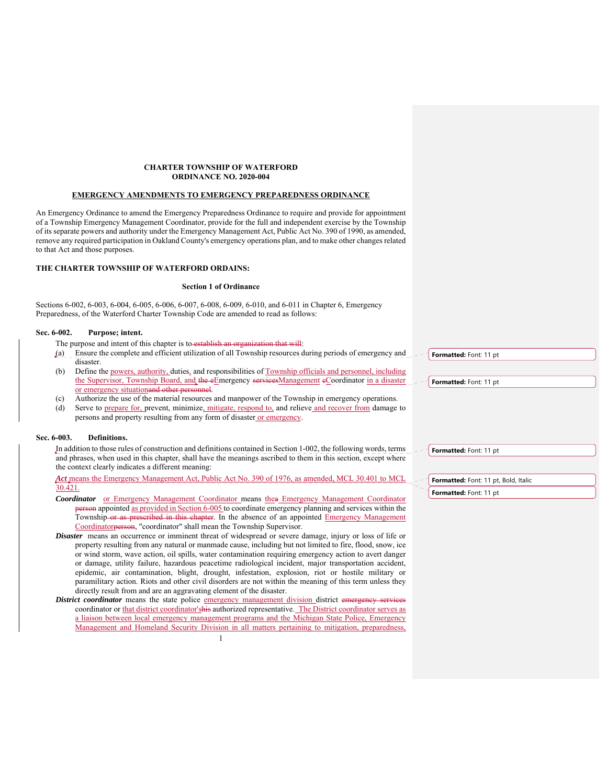### **CHARTER TOWNSHIP OF WATERFORD ORDINANCE NO. 2020-004**

## **EMERGENCY AMENDMENTS TO EMERGENCY PREPAREDNESS ORDINANCE**

An Emergency Ordinance to amend the Emergency Preparedness Ordinance to require and provide for appointment of a Township Emergency Management Coordinator, provide for the full and independent exercise by the Township of its separate powers and authority under the Emergency Management Act, Public Act No. 390 of 1990, as amended, remove any required participation in Oakland County's emergency operations plan, and to make other changes related to that Act and those purposes.

## **THE CHARTER TOWNSHIP OF WATERFORD ORDAINS:**

### **Section 1 of Ordinance**

Sections 6-002, 6-003, 6-004, 6-005, 6-006, 6-007, 6-008, 6-009, 6-010, and 6-011 in Chapter 6, Emergency Preparedness, of the Waterford Charter Township Code are amended to read as follows:

## **Sec. 6-002. Purpose; intent.**

The purpose and intent of this chapter is to establish an organization that will:

- (a) Ensure the complete and efficient utilization of all Township resources during periods of emergency and disaster.
- (b) Define the powers, authority, duties, and responsibilities of Township officials and personnel, including the Supervisor, Township Board, and the eEmergency services Management eCoordinator in a disaster or emergency situationand other personnel.
- (c) Authorize the use of the material resources and manpower of the Township in emergency operations.
- (d) Serve to prepare for, prevent, minimize, mitigate, respond to, and relieve and recover from damage to persons and property resulting from any form of disaster or emergency.

### **Sec. 6-003. Definitions.**

In addition to those rules of construction and definitions contained in Section 1-002, the following words, terms and phrases, when used in this chapter, shall have the meanings ascribed to them in this section, except where the context clearly indicates a different meaning:

*Act* means the Emergency Management Act, Public Act No. 390 of 1976, as amended, MCL 30.401 to MCL 30.421.

- *Coordinator* or Emergency Management Coordinator means thea Emergency Management Coordinator erson appointed as provided in Section 6-005 to coordinate emergency planning and services within the Township or as prescribed in this chapter. In the absence of an appointed Emergency Management Coordinatorperson, "coordinator" shall mean the Township Supervisor.
- *Disaster* means an occurrence or imminent threat of widespread or severe damage, injury or loss of life or property resulting from any natural or manmade cause, including but not limited to fire, flood, snow, ice or wind storm, wave action, oil spills, water contamination requiring emergency action to avert danger or damage, utility failure, hazardous peacetime radiological incident, major transportation accident, epidemic, air contamination, blight, drought, infestation, explosion, riot or hostile military or paramilitary action. Riots and other civil disorders are not within the meaning of this term unless they directly result from and are an aggravating element of the disaster.
- *District coordinator* means the state police emergency management division district emergency coordinator or that district coordinator'shis authorized representative. The District coordinator serves as a liaison between local emergency management programs and the Michigan State Police, Emergency Management and Homeland Security Division in all matters pertaining to mitigation, preparedness,

**Formatted:** Font: 11 pt

**Formatted:** Font: 11 pt

**Formatted:** Font: 11 pt

**Formatted:** Font: 11 pt, Bold, Italic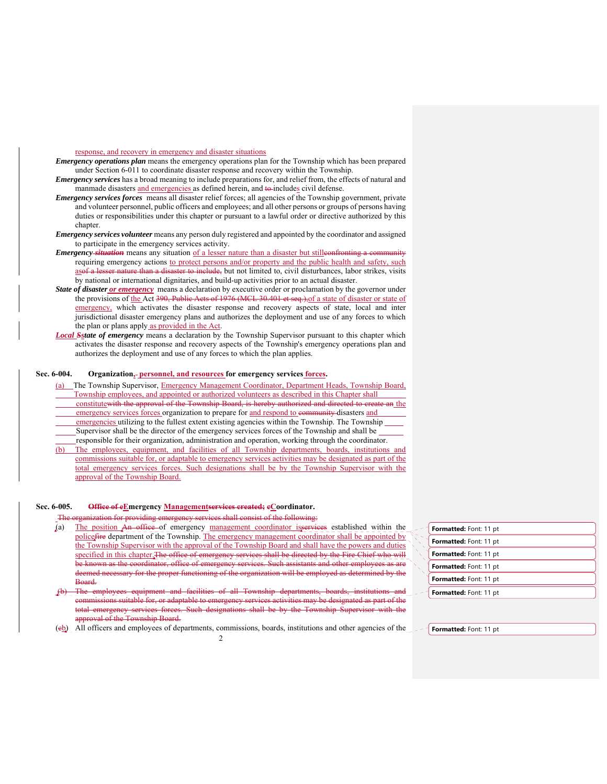response, and recovery in emergency and disaster situations

- *Emergency operations plan* means the emergency operations plan for the Township which has been prepared under Section 6-011 to coordinate disaster response and recovery within the Township.
- *Emergency services* has a broad meaning to include preparations for, and relief from, the effects of natural and manmade disasters and emergencies as defined herein, and to includes civil defense.
- *Emergency services forces* means all disaster relief forces; all agencies of the Township government, private and volunteer personnel, public officers and employees; and all other persons or groups of persons having duties or responsibilities under this chapter or pursuant to a lawful order or directive authorized by this chapter.
- *Emergency services volunteer* means any person duly registered and appointed by the coordinator and assigned to participate in the emergency services activity.
- *Emergency situation* means any situation of a lesser nature than a disaster but stilleonfronting a conrequiring emergency actions to protect persons and/or property and the public health and safety, such asof a lesser nature than a disaster to include, but not limited to, civil disturbances, labor strikes, visits by national or international dignitaries, and build-up activities prior to an actual disaster.
- *State of disaster or emergency* means a declaration by executive order or proclamation by the governor under the provisions of the Act 390, Public Acts of 1976 (MCL 30.401 et seq.), of a state of disaster or state of emergency, which activates the disaster response and recovery aspects of state, local and inter jurisdictional disaster emergency plans and authorizes the deployment and use of any forces to which the plan or plans apply as provided in the Act.
- *Local Sstate of emergency* means a declaration by the Township Supervisor pursuant to this chapter which activates the disaster response and recovery aspects of the Township's emergency operations plan and authorizes the deployment and use of any forces to which the plan applies.

## Sec. 6-004. Organization<sub>s</sub>-personnel, and resources for emergency services forces.

- (a) The Township Supervisor, Emergency Management Coordinator, Department Heads, Township Board, Township employees, and appointed or authorized volunteers as described in this Chapter shall constitutewith the approval of the Township Board, is hereby authorized and directed to create an the emergency services forces organization to prepare for and respond to eommunity disasters and emergencies utilizing to the fullest extent existing agencies within the Township. The Township Supervisor shall be the director of the emergency services forces of the Township and shall be responsible for their organization, administration and operation, working through the coordinator.
- (b) The employees, equipment, and facilities of all Township departments, boards, institutions and commissions suitable for, or adaptable to emergency services activities may be designated as part of the total emergency services forces. Such designations shall be by the Township Supervisor with the approval of the Township Board.

### **Sec. 6-005. Office of eEmergency Managementservices created; cCoordinator.**

or providing emergency services shall consist of the following:

- (a) The position An office of emergency management coordinator isservices established within the police fire department of the Township. The emergency management coordinator shall be appointed by the Township Supervisor with the approval of the Township Board and shall have the powers and duties specified in this chapter. The office of emergency services shall be directed by the Fire Chief who will be known as the coordinator, office of emergency services. Such assistants and other deemed necessary for the proper functioning of the organization will be employed as determined by the Board.
- (b) The employees equipment and facilities of all Township departments, sions suitable for, or adaptable to emergency services ac emergency services forces. Such designations shall be by the Township Supervisor with the approval of the Township Board.
- (cb) All officers and employees of departments, commissions, boards, institutions and other agencies of the

| Formatted: Font: 11 pt |
|------------------------|
| Formatted: Font: 11 pt |
| Formatted: Font: 11 pt |
| Formatted: Font: 11 pt |
| Formatted: Font: 11 pt |
| Formatted: Font: 11 pt |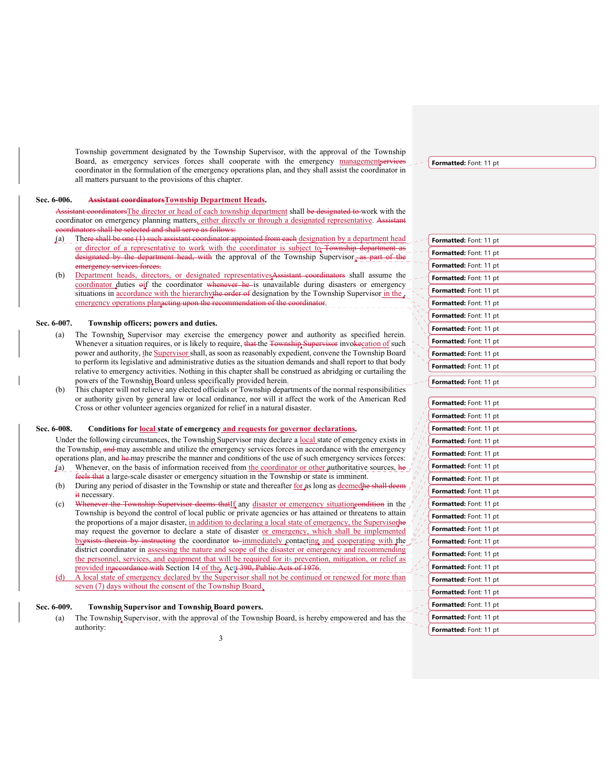Township government designated by the Township Supervisor, with the approval of the Township Board, as emergency services forces shall cooperate with the emergency managementservie coordinator in the formulation of the emergency operations plan, and they shall assist the coordinator in all matters pursuant to the provisions of this chapter.

## **Sec. 6-006. Assistant coordinatorsTownship Department Heads.**

coordinatorsThe director or head of each township department shall be designated to work with the coordinator on emergency planning matters, either directly or through a designated representative. Assist coordinators shall be selected and shall serve as follows:

- (a) There shall be one (1) such assistant coordinator appointed from each designation by a department head or director of a representative to work with the coordinator is subject to Township department as designated by the department head, with the approval of the Township Supervisor<sub>s</sub> as part of emergency services forces.
- (b) Department heads, directors, or designated representativesAssistant coordinators shall assume the coordinator duties oif the coordinator whenever he is unavailable during disasters or emergency situations in accordance with the hierarchythe order of designation by the Township Supervisor in the emergency operations planacting upon the recommendation of the coordinator.

### **Sec. 6-007. Township officers; powers and duties.**

- (a) The Township Supervisor may exercise the emergency power and authority as specified herein. Whenever a situation requires, or is likely to require, that the Township Supervisor invokecation of such power and authority, the Supervisor shall, as soon as reasonably expedient, convene the Township Board to perform its legislative and administrative duties as the situation demands and shall report to that body relative to emergency activities. Nothing in this chapter shall be construed as abridging or curtailing the powers of the Township Board unless specifically provided herein.
- (b) This chapter will not relieve any elected officials or Township departments of the normal responsibilities or authority given by general law or local ordinance, nor will it affect the work of the American Red Cross or other volunteer agencies organized for relief in a natural disaster.

## **Sec. 6-008. Conditions for local state of emergency and requests for governor declarations.**

Under the following circumstances, the Township Supervisor may declare a local state of emergency exists in the Township, and may assemble and utilize the emergency services forces in accordance with the emergency operations plan, and he may prescribe the manner and conditions of the use of such emergency services forces: (a) Whenever, on the basis of information received from the coordinator or other authoritative sources,  $h$ e

- feels that a large-scale disaster or emergency situation in the Township or state is imminent. (b) During any period of disaster in the Township or state and thereafter for as long as deemedhe shall it necessary.
- (c) Whenever the Township Supervisor deems that If any disaster or emergency situation condition in the Township is beyond the control of local public or private agencies or has attained or threatens to attain the proportions of a major disaster, in addition to declaring a local state of emergency, the Supervisorhe may request the governor to declare a state of disaster or emergency, which shall be implemented byexists therein by instructing the coordinator to-immediately contacting and cooperating with the district coordinator in <u>assessing the nature and scope</u> of the disaster or emergency and recommending the personnel, services, and equipment that will be required for its prevention, mitigation, or relief as provided inaccordance with Section 14 of the, Actt 390, Public Acts of 1976.
- (d) A local state of emergency declared by the Supervisor shall not be continued or renewed for more than seven (7) days without the consent of the Township Board.

# **Sec. 6-009. Township Supervisor and Township Board powers.**

(a) The Township Supervisor, with the approval of the Township Board, is hereby empowered and has the authority:

| <b>Formatted:</b> Font: 11 pt |
|-------------------------------|
| <b>Formatted:</b> Font: 11 pt |
| Formatted: Font: 11 pt        |
| Formatted: Font: 11 pt        |
| Formatted: Font: 11 pt        |
| Formatted: Font: 11 pt        |
| <b>Formatted:</b> Font: 11 pt |
| Formatted: Font: 11 pt        |
| <b>Formatted:</b> Font: 11 pt |
| <b>Formatted:</b> Font: 11 pt |
| <b>Formatted:</b> Font: 11 pt |
| <b>Formatted:</b> Font: 11 pt |
|                               |
| Formatted: Font: 11 pt        |
| Formatted: Font: 11 pt        |
| Formatted: Font: 11 pt        |
| Formatted: Font: 11 pt        |
| Formatted: Font: 11 pt        |
| Formatted: Font: 11 pt        |
| Formatted: Font: 11 pt        |
| <b>Formatted:</b> Font: 11 pt |
| <b>Formatted:</b> Font: 11 pt |
| <b>Formatted:</b> Font: 11 pt |
| <b>Formatted:</b> Font: 11 pt |
| <b>Formatted:</b> Font: 11 pt |
| Formatted: Font: 11 pt        |
| <b>Formatted:</b> Font: 11 pt |
| Formatted: Font: 11 pt        |
| Formatted: Font: 11 pt        |
| <b>Formatted:</b> Font: 11 pt |
| <b>Formatted:</b> Font: 11 pt |
| <b>Formatted:</b> Font: 11 pt |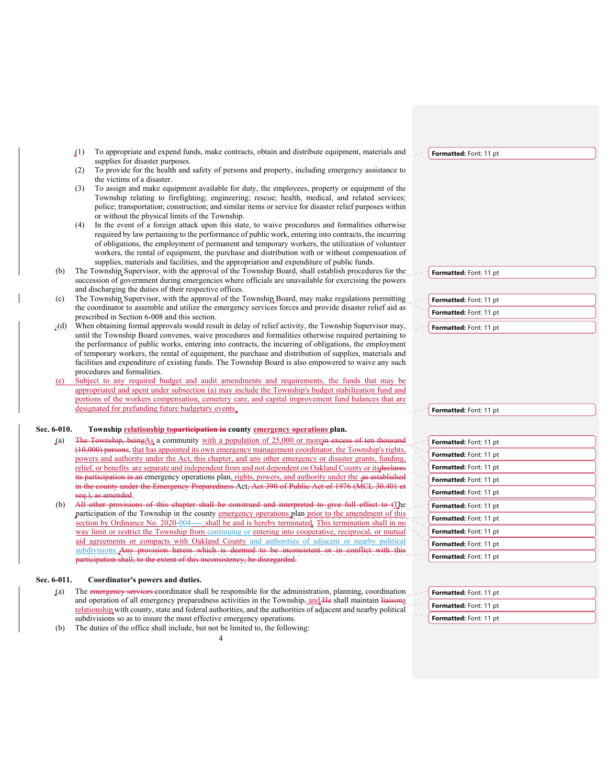(1) To appropriate and expend funds, make contracts, obtain and distribute equipment, materials and supplies for disaster purposes.

- (2) To provide for the health and safety of persons and property, including emergency assistance to the victims of a disaster.
- (3) To assign and make equipment available for duty, the employees, property or equipment of the Township relating to firefighting; engineering; rescue; health, medical, and related services; police; transportation; construction; and similar items or service for disaster relief purposes within or without the physical limits of the Township.
- (4) In the event of a foreign attack upon this state, to waive procedures and formalities otherwise required by law pertaining to the performance of public work, entering into contracts, the incurring of obligations, the employment of permanent and temporary workers, the utilization of volunteer workers, the rental of equipment, the purchase and distribution with or without compensation of supplies, materials and facilities, and the appropriation and expenditure of public funds.
- (b) The Township Supervisor, with the approval of the Township Board, shall establish procedures for the succession of government during emergencies where officials are unavailable for exercising the powers and discharging the duties of their respective offices.
- (c) The Township Supervisor, with the approval of the Township Board, may make regulations permitting the coordinator to assemble and utilize the emergency services forces and provide disaster relief aid as prescribed in Section 6-008 and this section.
- $_{\rm r}$ (d) When obtaining formal approvals would result in delay of relief activity, the Township Supervisor may, until the Township Board convenes, waive procedures and formalities otherwise required pertaining to the performance of public works, entering into contracts, the incurring of obligations, the employment of temporary workers, the rental of equipment, the purchase and distribution of supplies, materials and facilities and expenditure of existing funds. The Township Board is also empowered to waive any such procedures and formalities.
- Subject to any required budget and audit amendments and requirements, the funds that may be appropriated and spent under subsection (a) may include the Township's budget stabilization fund and portions of the workers compensation, cemetery care, and capital improvement fund balances that are designated for prefunding future budgetary events.

## Sec. 6-010. Township **relationship toparticipation in** county **emergency operations** plan.

- (a) The Township, beingAs a community with a population of 25,000 or morein excess of (10,000) persons, that has appointed its own emergency management coordinator, the Township's rights, powers and authority under the Act, this chapter, and any other emergency or disaster grants, funding, relief, or benefits are separate and independent from and not dependent on Oakland County or its declares rticipation in an emergency operations plan, rights, powers, and authority under the as in the county under the Emergency Preparedness Act, Act 390 of Public Act of 1976 (MCL seq.), as amended.
- (b) All other provisions of this chapter shall be construed and interpreted to give full effect to tThe participation of the Township in the county emergency operations plan prior to the amendment of this section by Ordinance No. 2020-004-\_\_\_shall be and is hereby terminated. This termination shall in no way limit or restrict the Township from continuing or entering into cooperative, reciprocal, or mutual aid agreements or compacts with Oakland County and authorities of adjacent or nearby political subdivisions...Any provision herein which is deemed to be inconsistent or in conflict with this participation shall, to the extent of this inconsistency, be disregarded.

### **Sec. 6-011. Coordinator's powers and duties.**

(a) The emergency services coordinator shall be responsible for the administration, planning, coordination and operation of all emergency preparedness activities in the Township-and He shall maintain liaisonal relationship with county, state and federal authorities, and the authorities of adjacent and nearby political subdivisions so as to insure the most effective emergency operations.

4

(b) The duties of the office shall include, but not be limited to, the following:

#### **Formatted:** Font: 11 pt

**Formatted:** Font: 11 pt

| Formatted: Font: 11 pt |  |
|------------------------|--|
| Formatted: Font: 11 pt |  |
|                        |  |

**Formatted:** Font: 11 pt

| Formatted: Font: 11 pt        |  |
|-------------------------------|--|
| Formatted: Font: 11 pt        |  |
| Formatted: Font: 11 pt        |  |
| Formatted: Font: 11 pt        |  |
| <b>Formatted:</b> Font: 11 pt |  |
| Formatted: Font: 11 pt        |  |
| Formatted: Font: 11 pt        |  |
| Formatted: Font: 11 pt        |  |
| Formatted: Font: 11 pt        |  |
| Formatted: Font: 11 pt        |  |

| Formatted: Font: 11 pt |  |
|------------------------|--|
| Formatted: Font: 11 pt |  |
| Formatted: Font: 11 pt |  |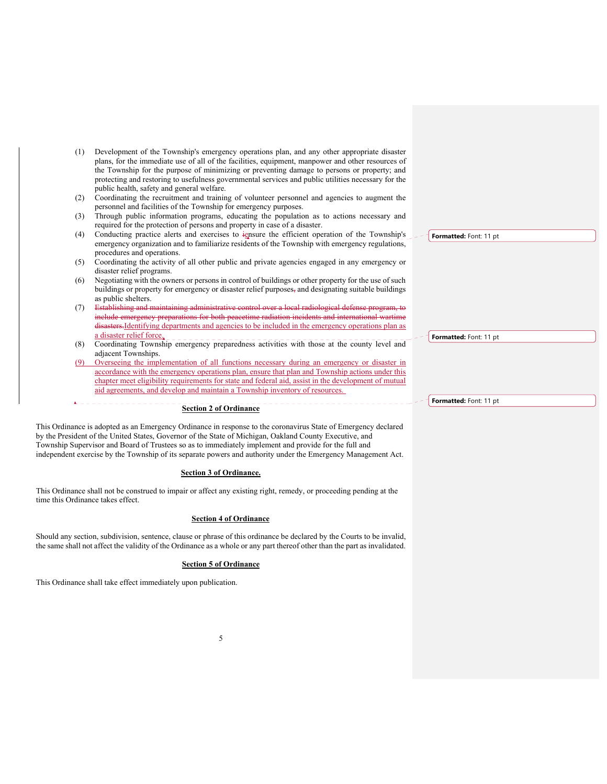- (1) Development of the Township's emergency operations plan, and any other appropriate disaster plans, for the immediate use of all of the facilities, equipment, manpower and other resources of the Township for the purpose of minimizing or preventing damage to persons or property; and protecting and restoring to usefulness governmental services and public utilities necessary for the public health, safety and general welfare.
- (2) Coordinating the recruitment and training of volunteer personnel and agencies to augment the personnel and facilities of the Township for emergency purposes.
- (3) Through public information programs, educating the population as to actions necessary and required for the protection of persons and property in case of a disaster.
- (4) Conducting practice alerts and exercises to iensure the efficient operation of the Township's emergency organization and to familiarize residents of the Township with emergency regulations, procedures and operations.
- (5) Coordinating the activity of all other public and private agencies engaged in any emergency or disaster relief programs.
- (6) Negotiating with the owners or persons in control of buildings or other property for the use of such buildings or property for emergency or disaster relief purposes, and designating suitable buildings as public shelters.
- (7) Establishing and maintaining administrative control over a local radiological defe include emergency preparations for both peacetime radiation incidents and international disasters.Identifying departments and agencies to be included in the emergency operations plan as a disaster relief force.
- (8) Coordinating Township emergency preparedness activities with those at the county level and adjacent Townships.
- (9) Overseeing the implementation of all functions necessary during an emergency or disaster in accordance with the emergency operations plan, ensure that plan and Township actions under this chapter meet eligibility requirements for state and federal aid, assist in the development of mutual aid agreements, and develop and maintain a Township inventory of resources.

## **Section 2 of Ordinance**

This Ordinance is adopted as an Emergency Ordinance in response to the coronavirus State of Emergency declared by the President of the United States, Governor of the State of Michigan, Oakland County Executive, and Township Supervisor and Board of Trustees so as to immediately implement and provide for the full and independent exercise by the Township of its separate powers and authority under the Emergency Management Act.

### **Section 3 of Ordinance.**

This Ordinance shall not be construed to impair or affect any existing right, remedy, or proceeding pending at the time this Ordinance takes effect.

## **Section 4 of Ordinance**

Should any section, subdivision, sentence, clause or phrase of this ordinance be declared by the Courts to be invalid, the same shall not affect the validity of the Ordinance as a whole or any part thereof other than the part as invalidated.

### **Section 5 of Ordinance**

This Ordinance shall take effect immediately upon publication.

**Formatted:** Font: 11 pt

**Formatted:** Font: 11 pt